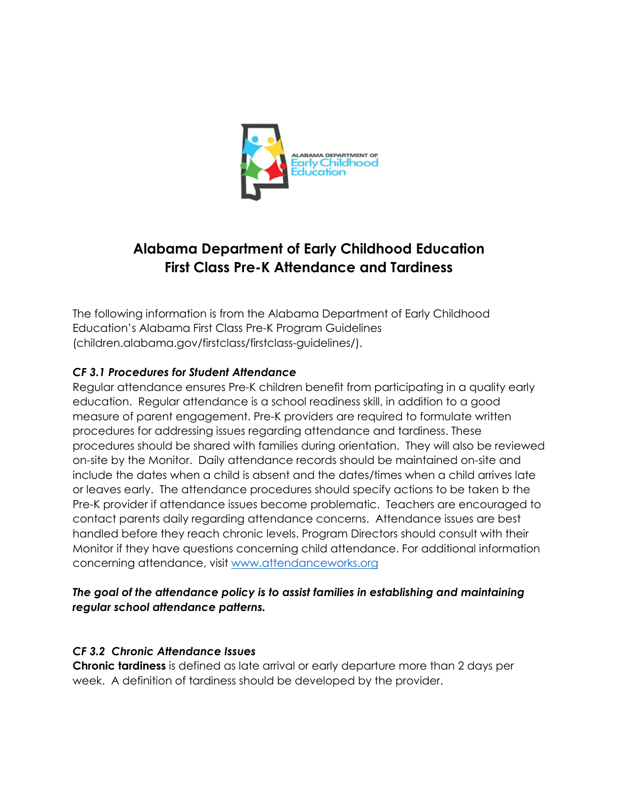

# **Alabama Department of Early Childhood Education First Class Pre-K Attendance and Tardiness**

The following information is from the Alabama Department of Early Childhood Education's Alabama First Class Pre-K Program Guidelines (children.alabama.gov/firstclass/firstclass-guidelines/).

### *CF 3.1 Procedures for Student Attendance*

Regular attendance ensures Pre-K children benefit from participating in a quality early education. Regular attendance is a school readiness skill, in addition to a good measure of parent engagement. Pre-K providers are required to formulate written procedures for addressing issues regarding attendance and tardiness. These procedures should be shared with families during orientation. They will also be reviewed on-site by the Monitor. Daily attendance records should be maintained on-site and include the dates when a child is absent and the dates/times when a child arrives late or leaves early. The attendance procedures should specify actions to be taken b the Pre-K provider if attendance issues become problematic. Teachers are encouraged to contact parents daily regarding attendance concerns. Attendance issues are best handled before they reach chronic levels. Program Directors should consult with their Monitor if they have questions concerning child attendance. For additional information concerning attendance, visit www.attendanceworks.org

#### *The goal of the attendance policy is to assist families in establishing and maintaining regular school attendance patterns.*

### *CF 3.2 Chronic Attendance Issues*

**Chronic tardiness** is defined as late arrival or early departure more than 2 days per week. A definition of tardiness should be developed by the provider.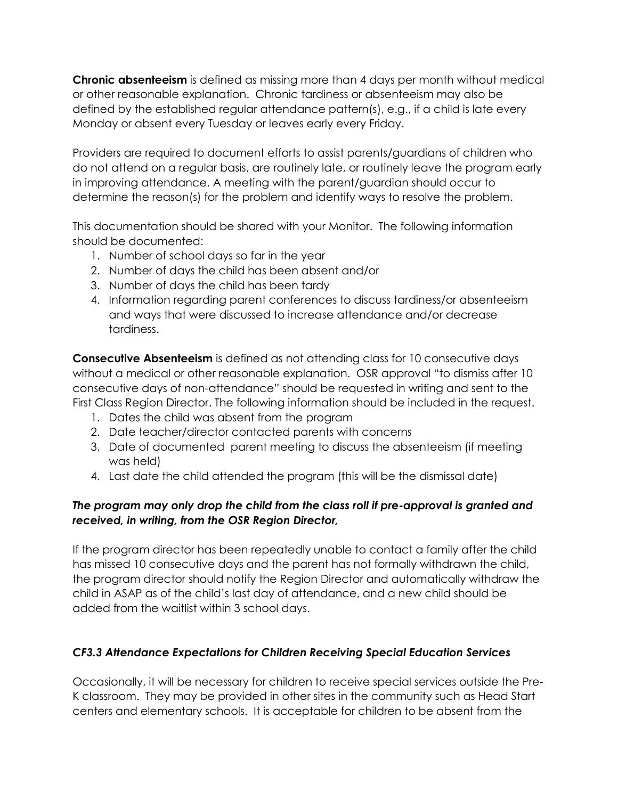**Chronic absenteeism** is defined as missing more than 4 days per month without medical or other reasonable explanation. Chronic tardiness or absenteeism may also be defined by the established regular attendance pattern(s), e.g., if a child is late every Monday or absent every Tuesday or leaves early every Friday.

Providers are required to document efforts to assist parents/guardians of children who do not attend on a regular basis, are routinely late, or routinely leave the program early in improving attendance. A meeting with the parent/guardian should occur to determine the reason(s) for the problem and identify ways to resolve the problem.

This documentation should be shared with your Monitor. The following information should be documented:

- 1. Number of school days so far in the year
- 2. Number of days the child has been absent and/or
- 3. Number of days the child has been tardy
- 4. Information regarding parent conferences to discuss tardiness/or absenteeism and ways that were discussed to increase attendance and/or decrease tardiness.

**Consecutive Absenteeism** is defined as not attending class for 10 consecutive days without a medical or other reasonable explanation. OSR approval "to dismiss after 10 consecutive days of non-attendance" should be requested in writing and sent to the First Class Region Director. The following information should be included in the request.

- 1. Dates the child was absent from the program
- 2. Date teacher/director contacted parents with concerns
- 3. Date of documented parent meeting to discuss the absenteeism (if meeting was held)
- 4. Last date the child attended the program (this will be the dismissal date)

### *The program may only drop the child from the class roll if pre-approval is granted and received, in writing, from the OSR Region Director,*

If the program director has been repeatedly unable to contact a family after the child has missed 10 consecutive days and the parent has not formally withdrawn the child, the program director should notify the Region Director and automatically withdraw the child in ASAP as of the child's last day of attendance, and a new child should be added from the waitlist within 3 school days.

## *CF3.3 Attendance Expectations for Children Receiving Special Education Services*

Occasionally, it will be necessary for children to receive special services outside the Pre-K classroom. They may be provided in other sites in the community such as Head Start centers and elementary schools. It is acceptable for children to be absent from the